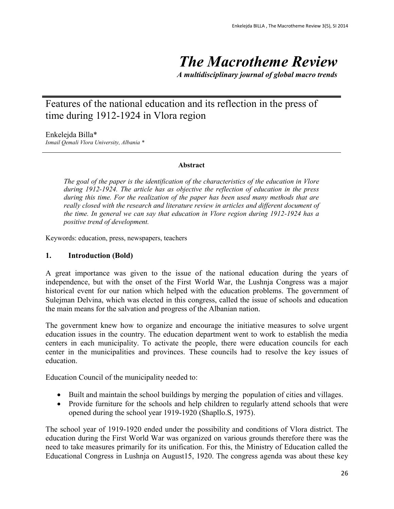# *The Macrotheme Review*

*A multidisciplinary journal of global macro trends*

# Features of the national education and its reflection in the press of time during 1912-1924 in Vlora region

Enkelejda Billa\*

*Ismail Qemali Vlora University, Albania \**

#### **Abstract**

*The goal of the paper is the identification of the characteristics of the education in Vlore during 1912-1924. The article has as objective the reflection of education in the press during this time. For the realization of the paper has been used many methods that are really closed with the research and literature review in articles and different document of the time. In general we can say that education in Vlore region during 1912-1924 has a positive trend of development.*

Keywords: education, press, newspapers, teachers

#### **1. Introduction (Bold)**

A great importance was given to the issue of the national education during the years of independence, but with the onset of the First World War, the Lushnja Congress was a major historical event for our nation which helped with the education problems. The government of Sulejman Delvina, which was elected in this congress, called the issue of schools and education the main means for the salvation and progress of the Albanian nation.

The government knew how to organize and encourage the initiative measures to solve urgent education issues in the country. The education department went to work to establish the media centers in each municipality. To activate the people, there were education councils for each center in the municipalities and provinces. These councils had to resolve the key issues of education.

Education Council of the municipality needed to:

- Built and maintain the school buildings by merging the population of cities and villages.
- Provide furniture for the schools and help children to regularly attend schools that were opened during the school year 1919-1920 (Shapllo.S, 1975).

The school year of 1919-1920 ended under the possibility and conditions of Vlora district. The education during the First World War was organized on various grounds therefore there was the need to take measures primarily for its unification. For this, the Ministry of Education called the Educational Congress in Lushnja on August15, 1920. The congress agenda was about these key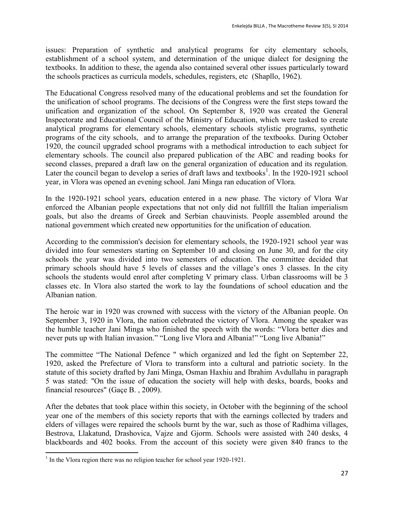issues: Preparation of synthetic and analytical programs for city elementary schools, establishment of a school system, and determination of the unique dialect for designing the textbooks. In addition to these, the agenda also contained several other issues particularly toward the schools practices as curricula models, schedules, registers, etc (Shapllo, 1962).

The Educational Congress resolved many of the educational problems and set the foundation for the unification of school programs. The decisions of the Congress were the first steps toward the unification and organization of the school. On September 8, 1920 was created the General Inspectorate and Educational Council of the Ministry of Education, which were tasked to create analytical programs for elementary schools, elementary schools stylistic programs, synthetic programs of the city schools, and to arrange the preparation of the textbooks. During October 1920, the council upgraded school programs with a methodical introduction to each subject for elementary schools. The council also prepared publication of the ABC and reading books for second classes, prepared a draft law on the general organization of education and its regulation. Later the council began to develop a series of draft laws and textbooks<sup>1</sup>. In the 1920-1921 school year, in Vlora was opened an evening school. Jani Minga ran education of Vlora.

In the 1920-1921 school years, education entered in a new phase. The victory of Vlora War enforced the Albanian people expectations that not only did not fullfill the Italian imperialism goals, but also the dreams of Greek and Serbian chauvinists. People assembled around the national government which created new opportunities for the unification of education.

According to the commission's decision for elementary schools, the 1920-1921 school year was divided into four semesters starting on September 10 and closing on June 30, and for the city schools the year was divided into two semesters of education. The committee decided that primary schools should have 5 levels of classes and the village's ones 3 classes. In the city schools the students would enrol after completing V primary class. Urban classrooms will be 3 classes etc. In Vlora also started the work to lay the foundations of school education and the Albanian nation.

The heroic war in 1920 was crowned with success with the victory of the Albanian people. On September 3, 1920 in Vlora, the nation celebrated the victory of Vlora. Among the speaker was the humble teacher Jani Minga who finished the speech with the words: "Vlora better dies and never puts up with Italian invasion." "Long live Vlora and Albania!" "Long live Albania!"

The committee "The National Defence " which organized and led the fight on September 22, 1920, asked the Prefecture of Vlora to transform into a cultural and patriotic society. In the statute of this society drafted by Jani Minga, Osman Haxhiu and Ibrahim Avdullahu in paragraph 5 was stated: "On the issue of education the society will help with desks, boards, books and financial resources" (Gaçe B. , 2009).

After the debates that took place within this society, in October with the beginning of the school year one of the members of this society reports that with the earnings collected by traders and elders of villages were repaired the schools burnt by the war, such as those of Radhima villages, Bestrova, Llakatund, Drashovica, Vajze and Gjorm. Schools were assisted with 240 desks, 4 blackboards and 402 books. From the account of this society were given 840 francs to the

 $\overline{a}$ <sup>1</sup> In the Vlora region there was no religion teacher for school year 1920-1921.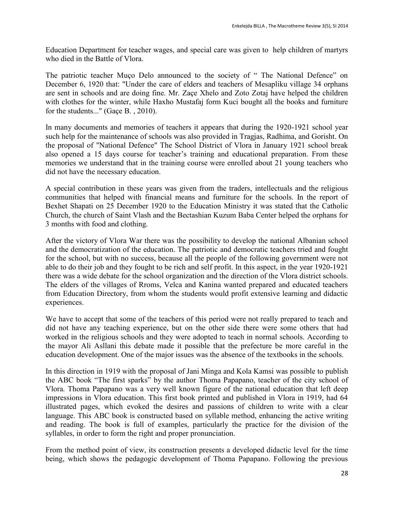Education Department for teacher wages, and special care was given to help children of martyrs who died in the Battle of Vlora.

The patriotic teacher Muço Delo announced to the society of " The National Defence" on December 6, 1920 that: "Under the care of elders and teachers of Mesapliku village 34 orphans are sent in schools and are doing fine. Mr. Zaçe Xhelo and Zoto Zotaj have helped the children with clothes for the winter, while Haxho Mustafaj form Kuci bought all the books and furniture for the students..." (Gaçe B. , 2010).

In many documents and memories of teachers it appears that during the 1920-1921 school year such help for the maintenance of schools was also provided in Tragjas, Radhima, and Gorisht. On the proposal of "National Defence" The School District of Vlora in January 1921 school break also opened a 15 days course for teacher's training and educational preparation. From these memories we understand that in the training course were enrolled about 21 young teachers who did not have the necessary education.

A special contribution in these years was given from the traders, intellectuals and the religious communities that helped with financial means and furniture for the schools. In the report of Bexhet Shapati on 25 December 1920 to the Education Ministry it was stated that the Catholic Church, the church of Saint Vlash and the Bectashian Kuzum Baba Center helped the orphans for 3 months with food and clothing.

After the victory of Vlora War there was the possibility to develop the national Albanian school and the democratization of the education. The patriotic and democratic teachers tried and fought for the school, but with no success, because all the people of the following government were not able to do their job and they fought to be rich and self profit. In this aspect, in the year 1920-1921 there was a wide debate for the school organization and the direction of the Vlora district schools. The elders of the villages of Rroms, Velca and Kanina wanted prepared and educated teachers from Education Directory, from whom the students would profit extensive learning and didactic experiences.

We have to accept that some of the teachers of this period were not really prepared to teach and did not have any teaching experience, but on the other side there were some others that had worked in the religious schools and they were adopted to teach in normal schools. According to the mayor Ali Asllani this debate made it possible that the prefecture be more careful in the education development. One of the major issues was the absence of the textbooks in the schools.

In this direction in 1919 with the proposal of Jani Minga and Kola Kamsi was possible to publish the ABC book "The first sparks" by the author Thoma Papapano, teacher of the city school of Vlora. Thoma Papapano was a very well known figure of the national education that left deep impressions in Vlora education. This first book printed and published in Vlora in 1919, had 64 illustrated pages, which evoked the desires and passions of children to write with a clear language. This ABC book is constructed based on syllable method, enhancing the active writing and reading. The book is full of examples, particularly the practice for the division of the syllables, in order to form the right and proper pronunciation.

From the method point of view, its construction presents a developed didactic level for the time being, which shows the pedagogic development of Thoma Papapano. Following the previous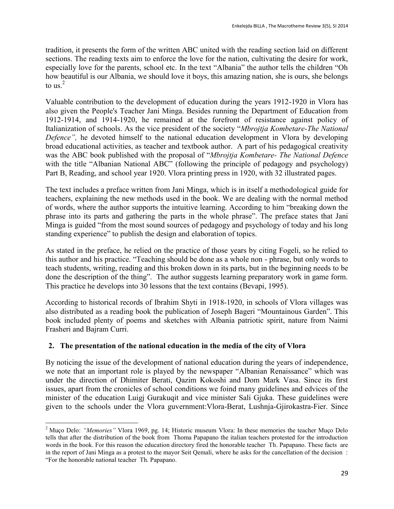tradition, it presents the form of the written ABC united with the reading section laid on different sections. The reading texts aim to enforce the love for the nation, cultivating the desire for work, especially love for the parents, school etc. In the text "Albania" the author tells the children "Oh how beautiful is our Albania, we should love it boys, this amazing nation, she is ours, she belongs to us. $2$ 

Valuable contribution to the development of education during the years 1912-1920 in Vlora has also given the People's Teacher Jani Minga. Besides running the Department of Education from 1912-1914, and 1914-1920, he remained at the forefront of resistance against policy of Italianization of schools. As the vice president of the society "*Mbrojtja Kombetare-The National Defence",* he devoted himself to the national education development in Vlora by developing broad educational activities, as teacher and textbook author. A part of his pedagogical creativity was the ABC book published with the proposal of "*Mbrojtja Kombetare- The National Defence* with the title "Albanian National ABC" (following the principle of pedagogy and psychology) Part B, Reading, and school year 1920. Vlora printing press in 1920, with 32 illustrated pages.

The text includes a preface written from Jani Minga, which is in itself a methodological guide for teachers, explaining the new methods used in the book. We are dealing with the normal method of words, where the author supports the intuitive learning. According to him "breaking down the phrase into its parts and gathering the parts in the whole phrase". The preface states that Jani Minga is guided "from the most sound sources of pedagogy and psychology of today and his long standing experience" to publish the design and elaboration of topics.

As stated in the preface, he relied on the practice of those years by citing Fogeli, so he relied to this author and his practice. "Teaching should be done as a whole non - phrase, but only words to teach students, writing, reading and this broken down in its parts, but in the beginning needs to be done the description of the thing". The author suggests learning preparatory work in game form. This practice he develops into 30 lessons that the text contains (Bevapi, 1995).

According to historical records of Ibrahim Shyti in 1918-1920, in schools of Vlora villages was also distributed as a reading book the publication of Joseph Bageri "Mountainous Garden". This book included plenty of poems and sketches with Albania patriotic spirit, nature from Naimi Frasheri and Bajram Curri.

## **2. The presentation of the national education in the media of the city of Vlora**

 $\ddot{\phantom{a}}$ 

By noticing the issue of the development of national education during the years of independence, we note that an important role is played by the newspaper "Albanian Renaissance" which was under the direction of Dhimiter Berati, Qazim Kokoshi and Dom Mark Vasa. Since its first issues, apart from the cronicles of school conditions we foind many guidelines and edvices of the minister of the education Luigj Gurakuqit and vice minister Sali Gjuka. These guidelines were given to the schools under the Vlora guvernment:Vlora-Berat, Lushnja-Gjirokastra-Fier. Since

<sup>2</sup> Muço Delo: *"Memories"* Vlora 1969, pg. 14; Historic museum Vlora: In these memories the teacher Muço Delo tells that after the distribution of the book from Thoma Papapano the italian teachers protested for the introduction words in the book. For this reason the education directory fired the honorable teacher Th. Papapano. These facts are in the report of Jani Minga as a protest to the mayor Seit Qemali, where he asks for the cancellation of the decision : "For the honorable national teacher Th. Papapano.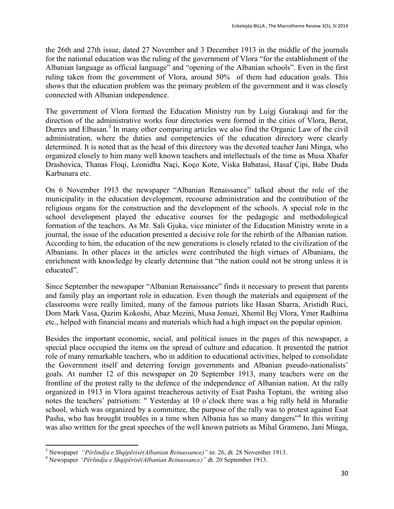the 26th and 27th issue, dated 27 November and 3 December 1913 in the middle of the journals for the national education was the ruling of the government of Vlora "for the establishment of the Albanian language as official language" and "opening of the Albanian schools". Even in the first ruling taken from the government of Vlora, around 50% of them had education goals. This shows that the education problem was the primary problem of the government and it was closely connected with Albanian independence.

The government of Vlora formed the Education Ministry run by Luigj Gurakuqi and for the direction of the administrative works four directories were formed in the cities of Vlora, Berat, Durres and Elbasan.<sup>3</sup> In many other comparing articles we also find the Organic Law of the civil administration, where the duties and competencies of the education directory were clearly determined. It is noted that as the head of this directory was the devoted teacher Jani Minga, who organized closely to him many well known teachers and intellectuals of the time as Musa Xhafer Drashovica, Thanas Floqi, Leonidha Naçi, Koço Kote, Viska Babatasi, Hasaf Çipi, Babe Duda Karbunara etc.

On 6 November 1913 the newspaper "Albanian Renaissance" talked about the role of the municipality in the education development, recourse administration and the contribution of the religious organs for the construction and the development of the schools. A special role in the school development played the educative courses for the pedagogic and methodological formation of the teachers. As Mr. Sali Gjuka, vice minister of the Education Ministry wrote in a journal, the issue of the education presented a decisive role for the rebirth of the Albanian nation. According to him, the education of the new generations is closely related to the civilization of the Albanians. In other places in the articles were contributed the high virtues of Albanians, the enrichment with knowledge by clearly determine that "the nation could not be strong unless it is educated".

Since September the newspaper "Albanian Renaissance" finds it necessary to present that parents and family play an important role in education. Even though the materials and equipment of the classrooms were really limited, many of the famous patriots like Hasan Sharra, Aristidh Ruci, Dom Mark Vasa, Qazim Kokoshi, Abaz Mezini, Musa Jonuzi, Xhemil Bej Vlora, Ymer Radhima etc., helped with financial means and materials which had a high impact on the popular opinion.

Besides the important economic, social, and political issues in the pages of this newspaper, a special place occupied the items on the spread of culture and education. It presented the patriot role of many remarkable teachers, who in addition to educational activities, helped to consolidate the Government itself and deterring foreign governments and Albanian pseudo-nationalists' goals. At number 12 of this newspaper on 20 September 1913, many teachers were on the frontline of the protest rally to the defence of the independence of Albanian nation. At the rally organized in 1913 in Vlora against treacherous activity of Esat Pasha Toptani, the writing also notes the teachers' patriotism: " Yesterday at 10 o'clock there was a big rally held in Muradie school, which was organized by a committee, the purpose of the rally was to protest against Esat Pasha, who has brought troubles in a time when Albania has so many dangers"<sup>4</sup> In this writing was also written for the great speeches of the well known patriots as Mihal Grameno, Jani Minga,

 $\ddot{\phantom{a}}$ 

<sup>3</sup> Newspaper *"Përlindja e Shqipërisë(Albanian Reinassance)"* nr. 26, dt. 28 November 1913.

<sup>4</sup> Newspaper *"Përlindja e Shqipërisë(Albanian Reinassance)"* dt. 20 September 1913.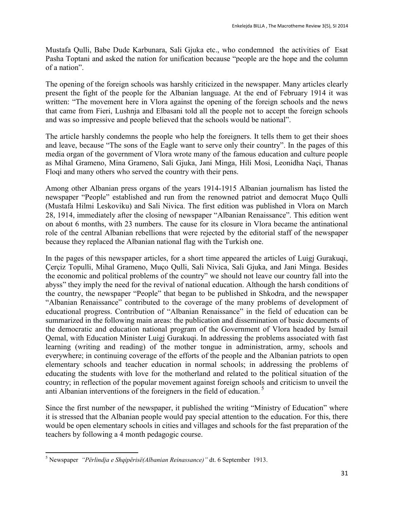Mustafa Qulli, Babe Dude Karbunara, Sali Gjuka etc., who condemned the activities of Esat Pasha Toptani and asked the nation for unification because "people are the hope and the column of a nation".

The opening of the foreign schools was harshly criticized in the newspaper. Many articles clearly present the fight of the people for the Albanian language. At the end of February 1914 it was written: "The movement here in Vlora against the opening of the foreign schools and the news that came from Fieri, Lushnja and Elbasani told all the people not to accept the foreign schools and was so impressive and people believed that the schools would be national".

The article harshly condemns the people who help the foreigners. It tells them to get their shoes and leave, because "The sons of the Eagle want to serve only their country". In the pages of this media organ of the government of Vlora wrote many of the famous education and culture people as Mihal Grameno, Mina Grameno, Sali Gjuka, Jani Minga, Hili Mosi, Leonidha Naçi, Thanas Floqi and many others who served the country with their pens.

Among other Albanian press organs of the years 1914-1915 Albanian journalism has listed the newspaper "People" established and run from the renowned patriot and democrat Muço Qulli (Mustafa Hilmi Leskoviku) and Sali Nivica. The first edition was published in Vlora on March 28, 1914, immediately after the closing of newspaper "Albanian Renaissance". This edition went on about 6 months, with 23 numbers. The cause for its closure in Vlora became the antinational role of the central Albanian rebellions that were rejected by the editorial staff of the newspaper because they replaced the Albanian national flag with the Turkish one.

In the pages of this newspaper articles, for a short time appeared the articles of Luigj Gurakuqi, Çerçiz Topulli, Mihal Grameno, Muço Qulli, Sali Nivica, Sali Gjuka, and Jani Minga. Besides the economic and political problems of the country" we should not leave our country fall into the abyss" they imply the need for the revival of national education. Although the harsh conditions of the country, the newspaper "People" that began to be published in Shkodra, and the newspaper "Albanian Renaissance" contributed to the coverage of the many problems of development of educational progress. Contribution of "Albanian Renaissance" in the field of education can be summarized in the following main areas: the publication and dissemination of basic documents of the democratic and education national program of the Government of Vlora headed by Ismail Qemal, with Education Minister Luigj Gurakuqi. In addressing the problems associated with fast learning (writing and reading) of the mother tongue in administration, army, schools and everywhere; in continuing coverage of the efforts of the people and the Albanian patriots to open elementary schools and teacher education in normal schools; in addressing the problems of educating the students with love for the motherland and related to the political situation of the country; in reflection of the popular movement against foreign schools and criticism to unveil the anti Albanian interventions of the foreigners in the field of education.<sup>5</sup>

Since the first number of the newspaper, it published the writing "Ministry of Education" where it is stressed that the Albanian people would pay special attention to the education. For this, there would be open elementary schools in cities and villages and schools for the fast preparation of the teachers by following a 4 month pedagogic course.

 $\overline{a}$ <sup>5</sup> Newspaper *"Përlindja e Shqipërisë(Albanian Reinassance)"* dt. 6 September 1913.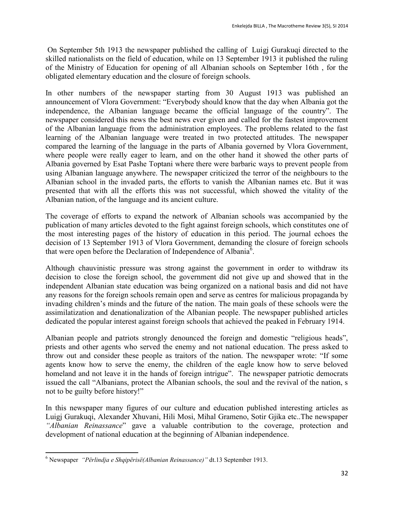On September 5th 1913 the newspaper published the calling of Luigj Gurakuqi directed to the skilled nationalists on the field of education, while on 13 September 1913 it published the ruling of the Ministry of Education for opening of all Albanian schools on September 16th , for the obligated elementary education and the closure of foreign schools.

In other numbers of the newspaper starting from 30 August 1913 was published an announcement of Vlora Government: "Everybody should know that the day when Albania got the independence, the Albanian language became the official language of the country". The newspaper considered this news the best news ever given and called for the fastest improvement of the Albanian language from the administration employees. The problems related to the fast learning of the Albanian language were treated in two protected attitudes. The newspaper compared the learning of the language in the parts of Albania governed by Vlora Government, where people were really eager to learn, and on the other hand it showed the other parts of Albania governed by Esat Pashe Toptani where there were barbaric ways to prevent people from using Albanian language anywhere. The newspaper criticized the terror of the neighbours to the Albanian school in the invaded parts, the efforts to vanish the Albanian names etc. But it was presented that with all the efforts this was not successful, which showed the vitality of the Albanian nation, of the language and its ancient culture.

The coverage of efforts to expand the network of Albanian schools was accompanied by the publication of many articles devoted to the fight against foreign schools, which constitutes one of the most interesting pages of the history of education in this period. The journal echoes the decision of 13 September 1913 of Vlora Government, demanding the closure of foreign schools that were open before the Declaration of Independence of Albania<sup>6</sup>.

Although chauvinistic pressure was strong against the government in order to withdraw its decision to close the foreign school, the government did not give up and showed that in the independent Albanian state education was being organized on a national basis and did not have any reasons for the foreign schools remain open and serve as centres for malicious propaganda by invading children's minds and the future of the nation. The main goals of these schools were the assimilatization and denationalization of the Albanian people. The newspaper published articles dedicated the popular interest against foreign schools that achieved the peaked in February 1914.

Albanian people and patriots strongly denounced the foreign and domestic "religious heads", priests and other agents who served the enemy and not national education. The press asked to throw out and consider these people as traitors of the nation. The newspaper wrote: "If some agents know how to serve the enemy, the children of the eagle know how to serve beloved homeland and not leave it in the hands of foreign intrigue". The newspaper patriotic democrats issued the call "Albanians, protect the Albanian schools, the soul and the revival of the nation, s not to be guilty before history!"

In this newspaper many figures of our culture and education published interesting articles as Luigj Gurakuqi, Alexander Xhuvani, Hili Mosi, Mihal Grameno, Sotir Gjika etc..The newspaper *"Albanian Reinassance*" gave a valuable contribution to the coverage, protection and development of national education at the beginning of Albanian independence.

 $\overline{a}$ <sup>6</sup> Newspaper *"Përlindja e Shqipërisë(Albanian Reinassance)"* dt.13 September 1913.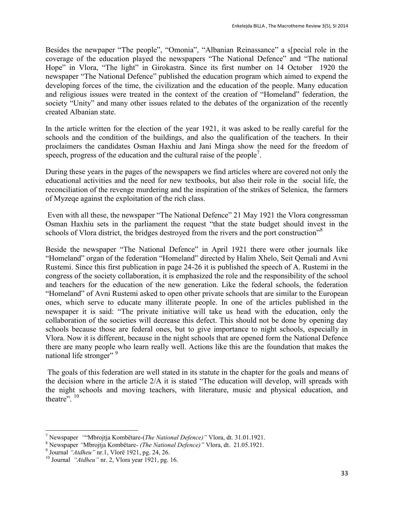Besides the newpaper "The people", "Omonia", "Albanian Reinassance" a s[pecial role in the coverage of the education played the newspapers "The National Defence" and "The national Hope" in Vlora, "The light" in Girokastra. Since its first number on 14 October 1920 the newspaper "The National Defence" published the education program which aimed to expend the developing forces of the time, the civilization and the education of the people. Many education and religious issues were treated in the context of the creation of "Homeland" federation, the society "Unity" and many other issues related to the debates of the organization of the recently created Albanian state.

In the article written for the election of the year 1921, it was asked to be really careful for the schools and the condition of the buildings, and also the qualification of the teachers. In their proclaimers the candidates Osman Haxhiu and Jani Minga show the need for the freedom of speech, progress of the education and the cultural raise of the people<sup>7</sup>.

During these years in the pages of the newspapers we find articles where are covered not only the educational activities and the need for new textbooks, but also their role in the social life, the reconciliation of the revenge murdering and the inspiration of the strikes of Selenica, the farmers of Myzeqe against the exploitation of the rich class.

Even with all these, the newspaper "The National Defence" 21 May 1921 the Vlora congressman Osman Haxhiu sets in the parliament the request "that the state budget should invest in the schools of Vlora district, the bridges destroyed from the rivers and the port construction<sup>"8</sup>

Beside the newspaper "The National Defence" in April 1921 there were other journals like "Homeland" organ of the federation "Homeland" directed by Halim Xhelo, Seit Qemali and Avni Rustemi. Since this first publication in page 24-26 it is published the speech of A. Rustemi in the congress of the society collaboration, it is emphasized the role and the responsibility of the school and teachers for the education of the new generation. Like the federal schools, the federation "Homeland" of Avni Rustemi asked to open other private schools that are similar to the European ones, which serve to educate many illiterate people. In one of the articles published in the newspaper it is said: "The private initiative will take us head with the education, only the collaboration of the societies will decrease this defect. This should not be done by opening day schools because those are federal ones, but to give importance to night schools, especially in Vlora. Now it is different, because in the night schools that are opened form the National Defence there are many people who learn really well. Actions like this are the foundation that makes the national life stronger"<sup>9</sup>

The goals of this federation are well stated in its statute in the chapter for the goals and means of the decision where in the article 2/A it is stated "The education will develop, will spreads with the night schools and moving teachers, with literature, music and physical education, and theatre".  $10$ 

 $\overline{a}$ 

<sup>7</sup> Newspaper *"*"Mbrojtja Kombëtare-(*The National Defence)"* Vlora, dt. 31.01.1921.

<sup>8</sup> Newspaper *"*Mbrojtja Kombëtare- *(The National Defence)"* Vlora, dt. 21.05.1921.

<sup>9</sup> Journal *"Atdheu"* nr.1, Vlorë 1921, pg. 24, 26.

<sup>10</sup> Journal *"Atdheu"* nr. 2, Vlora year 1921, pg. 16.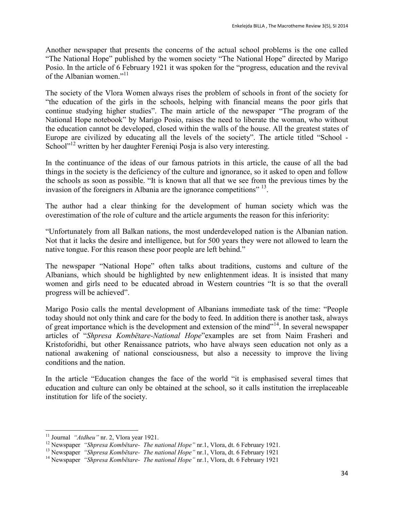Another newspaper that presents the concerns of the actual school problems is the one called "The National Hope" published by the women society "The National Hope" directed by Marigo Posio. In the article of 6 February 1921 it was spoken for the "progress, education and the revival of the Albanian women."<sup>11</sup>

The society of the Vlora Women always rises the problem of schools in front of the society for "the education of the girls in the schools, helping with financial means the poor girls that continue studying higher studies". The main article of the newspaper "The program of the National Hope notebook" by Marigo Posio, raises the need to liberate the woman, who without the education cannot be developed, closed within the walls of the house. All the greatest states of Europe are civilized by educating all the levels of the society". The article titled "School - School"<sup>12</sup> written by her daughter Fereniqi Posja is also very interesting.

In the continuance of the ideas of our famous patriots in this article, the cause of all the bad things in the society is the deficiency of the culture and ignorance, so it asked to open and follow the schools as soon as possible. "It is known that all that we see from the previous times by the invasion of the foreigners in Albania are the ignorance competitions"<sup>13</sup>.

The author had a clear thinking for the development of human society which was the overestimation of the role of culture and the article arguments the reason for this inferiority:

"Unfortunately from all Balkan nations, the most underdeveloped nation is the Albanian nation. Not that it lacks the desire and intelligence, but for 500 years they were not allowed to learn the native tongue. For this reason these poor people are left behind."

The newspaper "National Hope" often talks about traditions, customs and culture of the Albanians, which should be highlighted by new enlightenment ideas. It is insisted that many women and girls need to be educated abroad in Western countries "It is so that the overall progress will be achieved".

Marigo Posio calls the mental development of Albanians immediate task of the time: "People today should not only think and care for the body to feed. In addition there is another task, always of great importance which is the development and extension of the mind $^{1/4}$ . In several newspaper articles of "*Shpresa Kombëtare-National Hope*"examples are set from Naim Frasheri and Kristoforidhi, but other Renaissance patriots, who have always seen education not only as a national awakening of national consciousness, but also a necessity to improve the living conditions and the nation.

In the article "Education changes the face of the world "it is emphasised several times that education and culture can only be obtained at the school, so it calls institution the irreplaceable institution for life of the society.

 $\overline{a}$ 

<sup>11</sup> Journal *"Atdheu"* nr. 2, Vlora year 1921.

<sup>12</sup> Newspaper *"Shpresa Kombëtare- The national Hope"* nr.1, Vlora, dt. 6 February 1921.

<sup>13</sup> Newspaper *"Shpresa Kombëtare- The national Hope"* nr.1, Vlora, dt. 6 February 1921

<sup>14</sup> Newspaper *"Shpresa Kombëtare- The national Hope"* nr.1, Vlora, dt. 6 February 1921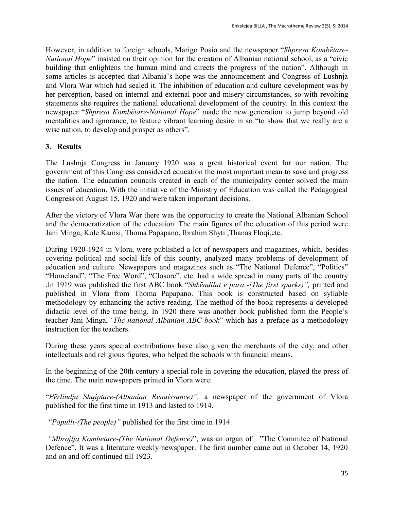However, in addition to foreign schools, Marigo Posio and the newspaper "*Shpresa Kombëtare-National Hope*" insisted on their opinion for the creation of Albanian national school, as a "civic building that enlightens the human mind and directs the progress of the nation". Although in some articles is accepted that Albania's hope was the announcement and Congress of Lushnja and Vlora War which had sealed it. The inhibition of education and culture development was by her perception, based on internal and external poor and misery circumstances, so with revolting statements she requires the national educational development of the country. In this context the newspaper "*Shpresa Kombëtare-National Hope*" made the new generation to jump beyond old mentalities and ignorance, to feature vibrant learning desire in so "to show that we really are a wise nation, to develop and prosper as others".

### **3. Results**

The Lushnja Congress in January 1920 was a great historical event for our nation. The government of this Congress considered education the most important mean to save and progress the nation. The education councils created in each of the municipality center solved the main issues of education. With the initiative of the Ministry of Education was called the Pedagogical Congress on August 15, 1920 and were taken important decisions.

After the victory of Vlora War there was the opportunity to create the National Albanian School and the democratization of the education. The main figures of the education of this period were Jani Minga, Kole Kamsi, Thoma Papapano, Ibrahim Shyti ,Thanas Floqi,etc.

During 1920-1924 in Vlora, were published a lot of newspapers and magazines, which, besides covering political and social life of this county, analyzed many problems of development of education and culture. Newspapers and magazines such as "The National Defence", "Politics" "Homeland", "The Free Word", "Closure", etc. had a wide spread in many parts of the country .In 1919 was published the first ABC book "*Shkëndilat e para -(The first sparks)",* printed and published in Vlora from Thoma Papapano. This book is constructed based on syllable methodology by enhancing the active reading. The method of the book represents a developed didactic level of the time being. In 1920 there was another book published form the People's teacher Jani Minga, '*The national Albanian ABC book*" which has a preface as a methodology instruction for the teachers.

During these years special contributions have also given the merchants of the city, and other intellectuals and religious figures, who helped the schools with financial means.

In the beginning of the 20th century a special role in covering the education, played the press of the time. The main newspapers printed in Vlora were:

"*Përlindja Shqiptare-(Albanian Renaissance)",* a newspaper of the government of Vlora published for the first time in 1913 and lasted to 1914.

*"Populli-(The people)"* published for the first time in 1914.

*"Mbrojtja Kombetare-(The National Defence)*", was an organ of "The Commitee of National Defence". It was a literature weekly newspaper. The first number came out in October 14, 1920 and on and off continued till 1923.